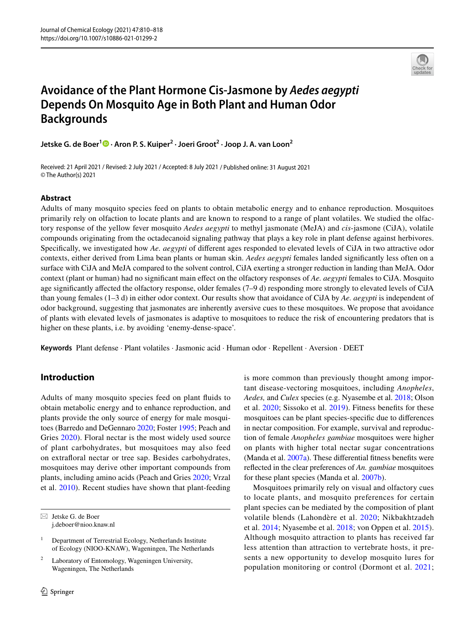

# **Avoidance of the Plant Hormone Cis‑Jasmone by** *Aedes aegypti* **Depends On Mosquito Age in Both Plant and Human Odor Backgrounds**

**Jetske G. de Boer1  [·](http://orcid.org/0000-0002-3182-8543) Aron P. S. Kuiper2 · Joeri Groot2 · Joop J. A. van Loon2**

Received: 21 April 2021 / Revised: 2 July 2021 / Accepted: 8 July 2021 / Published online: 31 August 2021 © The Author(s) 2021

## **Abstract**

Adults of many mosquito species feed on plants to obtain metabolic energy and to enhance reproduction. Mosquitoes primarily rely on olfaction to locate plants and are known to respond to a range of plant volatiles. We studied the olfactory response of the yellow fever mosquito *Aedes aegypti* to methyl jasmonate (MeJA) and *cis*-jasmone (CiJA), volatile compounds originating from the octadecanoid signaling pathway that plays a key role in plant defense against herbivores. Specifcally, we investigated how *Ae. aegypti* of diferent ages responded to elevated levels of CiJA in two attractive odor contexts, either derived from Lima bean plants or human skin. *Aedes aegypti* females landed signifcantly less often on a surface with CiJA and MeJA compared to the solvent control, CiJA exerting a stronger reduction in landing than MeJA. Odor context (plant or human) had no signifcant main efect on the olfactory responses of *Ae. aegypti* females to CiJA. Mosquito age signifcantly afected the olfactory response, older females (7–9 d) responding more strongly to elevated levels of CiJA than young females (1–3 d) in either odor context. Our results show that avoidance of CiJA by *Ae. aegypti* is independent of odor background, suggesting that jasmonates are inherently aversive cues to these mosquitoes. We propose that avoidance of plants with elevated levels of jasmonates is adaptive to mosquitoes to reduce the risk of encountering predators that is higher on these plants, i.e. by avoiding 'enemy-dense-space'.

**Keywords** Plant defense · Plant volatiles · Jasmonic acid · Human odor · Repellent · Aversion · DEET

# **Introduction**

Adults of many mosquito species feed on plant fuids to obtain metabolic energy and to enhance reproduction, and plants provide the only source of energy for male mosquitoes (Barredo and DeGennaro [2020;](#page-6-0) Foster [1995;](#page-7-0) Peach and Gries [2020\)](#page-7-1). Floral nectar is the most widely used source of plant carbohydrates, but mosquitoes may also feed on extraforal nectar or tree sap. Besides carbohydrates, mosquitoes may derive other important compounds from plants, including amino acids (Peach and Gries [2020](#page-7-1); Vrzal et al. [2010](#page-7-2)). Recent studies have shown that plant-feeding

 $\boxtimes$  Jetske G. de Boer j.deboer@nioo.knaw.nl

Laboratory of Entomology, Wageningen University, Wageningen, The Netherlands

is more common than previously thought among important disease-vectoring mosquitoes, including *Anopheles*, *Aedes,* and *Culex* species (e.g. Nyasembe et al. [2018](#page-7-3); Olson et al. [2020;](#page-7-4) Sissoko et al. [2019](#page-7-5)). Fitness benefts for these mosquitoes can be plant species-specifc due to diferences in nectar composition. For example, survival and reproduction of female *Anopheles gambiae* mosquitoes were higher on plants with higher total nectar sugar concentrations (Manda et al. [2007a\)](#page-7-6). These diferential ftness benefts were refected in the clear preferences of *An. gambiae* mosquitoes for these plant species (Manda et al. [2007b\)](#page-7-7).

Mosquitoes primarily rely on visual and olfactory cues to locate plants, and mosquito preferences for certain plant species can be mediated by the composition of plant volatile blends (Lahondère et al. [2020](#page-7-8); Nikbakhtzadeh et al. [2014](#page-7-9); Nyasembe et al. [2018;](#page-7-3) von Oppen et al. [2015](#page-7-10)). Although mosquito attraction to plants has received far less attention than attraction to vertebrate hosts, it presents a new opportunity to develop mosquito lures for population monitoring or control (Dormont et al. [2021](#page-6-1);

<sup>&</sup>lt;sup>1</sup> Department of Terrestrial Ecology, Netherlands Institute of Ecology (NIOO-KNAW), Wageningen, The Netherlands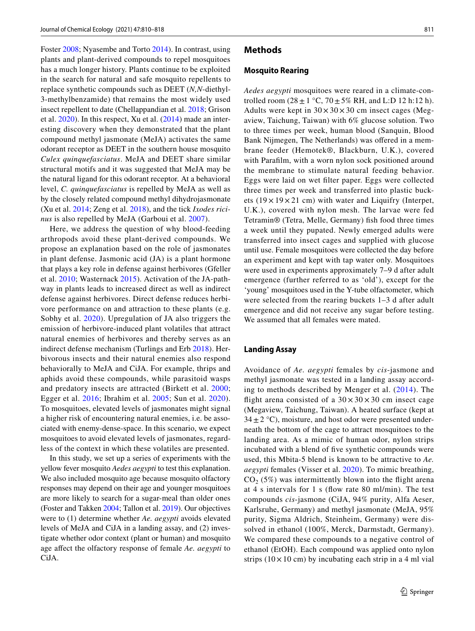Foster [2008;](#page-7-11) Nyasembe and Torto [2014](#page-7-12)). In contrast, using plants and plant-derived compounds to repel mosquitoes has a much longer history. Plants continue to be exploited in the search for natural and safe mosquito repellents to replace synthetic compounds such as DEET (*N,N*-diethyl-3-methylbenzamide) that remains the most widely used insect repellent to date (Chellappandian et al. [2018](#page-6-2); Grison et al. [2020\)](#page-7-13). In this respect, Xu et al. [\(2014\)](#page-8-0) made an interesting discovery when they demonstrated that the plant compound methyl jasmonate (MeJA) activates the same odorant receptor as DEET in the southern house mosquito *Culex quinquefasciatus*. MeJA and DEET share similar structural motifs and it was suggested that MeJA may be the natural ligand for this odorant receptor. At a behavioral level, *C. quinquefasciatus* is repelled by MeJA as well as by the closely related compound methyl dihydrojasmonate (Xu et al. [2014;](#page-8-0) Zeng et al. [2018\)](#page-8-1), and the tick *Ixodes ricinus* is also repelled by MeJA (Garboui et al. [2007](#page-7-14)).

Here, we address the question of why blood-feeding arthropods avoid these plant-derived compounds. We propose an explanation based on the role of jasmonates in plant defense. Jasmonic acid (JA) is a plant hormone that plays a key role in defense against herbivores (Gfeller et al. [2010;](#page-7-15) Wasternack [2015\)](#page-7-16). Activation of the JA-pathway in plants leads to increased direct as well as indirect defense against herbivores. Direct defense reduces herbivore performance on and attraction to these plants (e.g. Sobhy et al. [2020](#page-7-17)). Upregulation of JA also triggers the emission of herbivore-induced plant volatiles that attract natural enemies of herbivores and thereby serves as an indirect defense mechanism (Turlings and Erb [2018](#page-7-18)). Herbivorous insects and their natural enemies also respond behaviorally to MeJA and CiJA. For example, thrips and aphids avoid these compounds, while parasitoid wasps and predatory insects are attracted (Birkett et al. [2000](#page-6-3); Egger et al. [2016](#page-6-4); Ibrahim et al. [2005](#page-7-19); Sun et al. [2020](#page-7-20)). To mosquitoes, elevated levels of jasmonates might signal a higher risk of encountering natural enemies, i.e. be associated with enemy-dense-space. In this scenario, we expect mosquitoes to avoid elevated levels of jasmonates, regardless of the context in which these volatiles are presented.

In this study, we set up a series of experiments with the yellow fever mosquito *Aedes aegypti* to test this explanation. We also included mosquito age because mosquito olfactory responses may depend on their age and younger mosquitoes are more likely to search for a sugar-meal than older ones (Foster and Takken [2004](#page-7-21); Tallon et al. [2019](#page-7-22)). Our objectives were to (1) determine whether *Ae. aegypti* avoids elevated levels of MeJA and CiJA in a landing assay, and (2) investigate whether odor context (plant or human) and mosquito age afect the olfactory response of female *Ae. aegypti* to CiJA.

### **Methods**

#### **Mosquito Rearing**

*Aedes aegypti* mosquitoes were reared in a climate-controlled room  $(28 \pm 1 \degree C, 70 \pm 5\% \text{ RH}, \text{ and L:}$  D 12 h:12 h). Adults were kept in  $30 \times 30 \times 30$  cm insect cages (Megaview, Taichung, Taiwan) with 6% glucose solution. Two to three times per week, human blood (Sanquin, Blood Bank Nijmegen, The Netherlands) was offered in a membrane feeder (Hemotek®, Blackburn, U.K.), covered with Paraflm, with a worn nylon sock positioned around the membrane to stimulate natural feeding behavior. Eggs were laid on wet flter paper. Eggs were collected three times per week and transferred into plastic buckets  $(19 \times 19 \times 21$  cm) with water and Liquifry (Interpet, U.K.), covered with nylon mesh. The larvae were fed Tetramin® (Tetra, Melle, Germany) fsh food three times a week until they pupated. Newly emerged adults were transferred into insect cages and supplied with glucose until use. Female mosquitoes were collected the day before an experiment and kept with tap water only. Mosquitoes were used in experiments approximately 7–9 d after adult emergence (further referred to as 'old'), except for the 'young' mosquitoes used in the Y-tube olfactometer, which were selected from the rearing buckets 1–3 d after adult emergence and did not receive any sugar before testing. We assumed that all females were mated.

## **Landing Assay**

Avoidance of *Ae. aegypti* females by *cis*-jasmone and methyl jasmonate was tested in a landing assay according to methods described by Menger et al. ([2014](#page-7-23)). The flight arena consisted of a  $30 \times 30 \times 30$  cm insect cage (Megaview, Taichung, Taiwan). A heated surface (kept at  $34 \pm 2$  °C), moisture, and host odor were presented underneath the bottom of the cage to attract mosquitoes to the landing area. As a mimic of human odor, nylon strips incubated with a blend of fve synthetic compounds were used, this Mbita-5 blend is known to be attractive to *Ae. aegypti* females (Visser et al. [2020\)](#page-7-24). To mimic breathing,  $CO<sub>2</sub>$  (5%) was intermittently blown into the flight arena at 4 s intervals for 1 s (fow rate 80 ml/min). The test compounds *cis*-jasmone (CiJA, 94% purity, Alfa Aeser, Karlsruhe, Germany) and methyl jasmonate (MeJA, 95% purity, Sigma Aldrich, Steinheim, Germany) were dissolved in ethanol (100%, Merck, Darmstadt, Germany). We compared these compounds to a negative control of ethanol (EtOH). Each compound was applied onto nylon strips  $(10 \times 10 \text{ cm})$  by incubating each strip in a 4 ml vial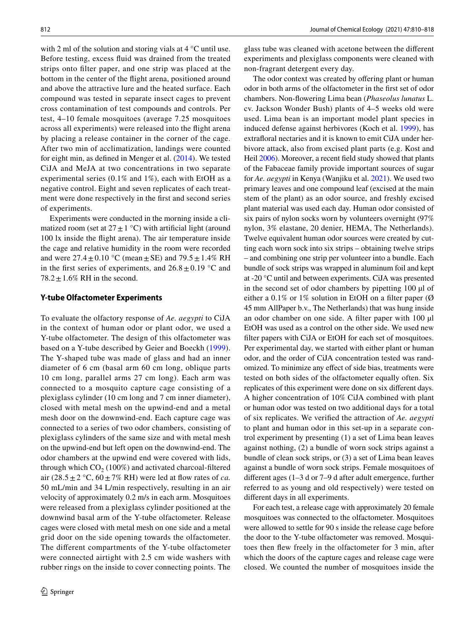with 2 ml of the solution and storing vials at 4 °C until use. Before testing, excess fuid was drained from the treated strips onto flter paper, and one strip was placed at the bottom in the center of the fight arena, positioned around and above the attractive lure and the heated surface. Each compound was tested in separate insect cages to prevent cross contamination of test compounds and controls. Per test, 4–10 female mosquitoes (average 7.25 mosquitoes across all experiments) were released into the fight arena by placing a release container in the corner of the cage. After two min of acclimatization, landings were counted for eight min, as defned in Menger et al. ([2014](#page-7-23)). We tested CiJA and MeJA at two concentrations in two separate experimental series (0.1% and 1%), each with EtOH as a negative control. Eight and seven replicates of each treatment were done respectively in the frst and second series of experiments.

Experiments were conducted in the morning inside a climatized room (set at  $27 \pm 1$  °C) with artificial light (around 100 lx inside the fight arena). The air temperature inside the cage and relative humidity in the room were recorded and were  $27.4 \pm 0.10$  °C (mean  $\pm$  SE) and  $79.5 \pm 1.4\%$  RH in the first series of experiments, and  $26.8 \pm 0.19$  °C and  $78.2 \pm 1.6\%$  RH in the second.

#### **Y‑tube Olfactometer Experiments**

To evaluate the olfactory response of *Ae. aegypti* to CiJA in the context of human odor or plant odor, we used a Y-tube olfactometer. The design of this olfactometer was based on a Y-tube described by Geier and Boeckh [\(1999](#page-7-25)). The Y-shaped tube was made of glass and had an inner diameter of 6 cm (basal arm 60 cm long, oblique parts 10 cm long, parallel arms 27 cm long). Each arm was connected to a mosquito capture cage consisting of a plexiglass cylinder (10 cm long and 7 cm inner diameter), closed with metal mesh on the upwind-end and a metal mesh door on the downwind-end. Each capture cage was connected to a series of two odor chambers, consisting of plexiglass cylinders of the same size and with metal mesh on the upwind-end but left open on the downwind-end. The odor chambers at the upwind end were covered with lids, through which  $CO<sub>2</sub>$  (100%) and activated charcoal-filtered air  $(28.5 \pm 2 \degree C, 60 \pm 7\% \text{ RH})$  were led at flow rates of *ca*. 50 mL/min and 34 L/min respectively, resulting in an air velocity of approximately 0.2 m/s in each arm. Mosquitoes were released from a plexiglass cylinder positioned at the downwind basal arm of the Y-tube olfactometer. Release cages were closed with metal mesh on one side and a metal grid door on the side opening towards the olfactometer. The diferent compartments of the Y-tube olfactometer were connected airtight with 2.5 cm wide washers with rubber rings on the inside to cover connecting points. The glass tube was cleaned with acetone between the diferent experiments and plexiglass components were cleaned with non-fragrant detergent every day.

The odor context was created by offering plant or human odor in both arms of the olfactometer in the frst set of odor chambers. Non-fowering Lima bean (*Phaseolus lunatus* L. cv. Jackson Wonder Bush) plants of 4–5 weeks old were used. Lima bean is an important model plant species in induced defense against herbivores (Koch et al. [1999](#page-7-26)), has extraforal nectaries and it is known to emit CiJA under herbivore attack, also from excised plant parts (e.g. Kost and Heil [2006](#page-7-27)). Moreover, a recent feld study showed that plants of the Fabaceae family provide important sources of sugar for *Ae. aegypti* in Kenya (Wanjiku et al. [2021](#page-7-28)). We used two primary leaves and one compound leaf (excised at the main stem of the plant) as an odor source, and freshly excised plant material was used each day. Human odor consisted of six pairs of nylon socks worn by volunteers overnight (97% nylon, 3% elastane, 20 denier, HEMA, The Netherlands). Twelve equivalent human odor sources were created by cutting each worn sock into six strips – obtaining twelve strips – and combining one strip per volunteer into a bundle. Each bundle of sock strips was wrapped in aluminum foil and kept at -20 °C until and between experiments. CiJA was presented in the second set of odor chambers by pipetting 100 µl of either a 0.1% or 1% solution in EtOH on a filter paper ( $\emptyset$ 45 mm AllPaper b.v., The Netherlands) that was hung inside an odor chamber on one side. A flter paper with 100 µl EtOH was used as a control on the other side. We used new flter papers with CiJA or EtOH for each set of mosquitoes. Per experimental day, we started with either plant or human odor, and the order of CiJA concentration tested was randomized. To minimize any efect of side bias, treatments were tested on both sides of the olfactometer equally often. Six replicates of this experiment were done on six diferent days. A higher concentration of 10% CiJA combined with plant or human odor was tested on two additional days for a total of six replicates. We verifed the attraction of *Ae. aegypti* to plant and human odor in this set-up in a separate control experiment by presenting (1) a set of Lima bean leaves against nothing, (2) a bundle of worn sock strips against a bundle of clean sock strips, or (3) a set of Lima bean leaves against a bundle of worn sock strips. Female mosquitoes of diferent ages (1–3 d or 7–9 d after adult emergence, further referred to as young and old respectively) were tested on diferent days in all experiments.

For each test, a release cage with approximately 20 female mosquitoes was connected to the olfactometer. Mosquitoes were allowed to settle for 90 s inside the release cage before the door to the Y-tube olfactometer was removed. Mosquitoes then few freely in the olfactometer for 3 min, after which the doors of the capture cages and release cage were closed. We counted the number of mosquitoes inside the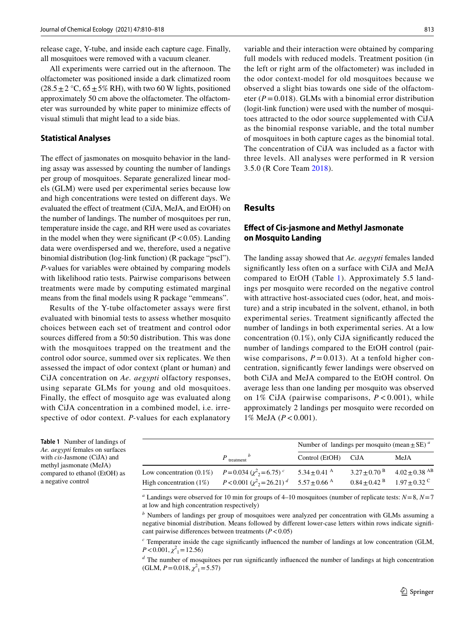release cage, Y-tube, and inside each capture cage. Finally, all mosquitoes were removed with a vacuum cleaner.

All experiments were carried out in the afternoon. The olfactometer was positioned inside a dark climatized room  $(28.5 \pm 2 \degree C, 65 \pm 5\% \text{ RH})$ , with two 60 W lights, positioned approximately 50 cm above the olfactometer. The olfactometer was surrounded by white paper to minimize efects of visual stimuli that might lead to a side bias.

## **Statistical Analyses**

The effect of jasmonates on mosquito behavior in the landing assay was assessed by counting the number of landings per group of mosquitoes. Separate generalized linear models (GLM) were used per experimental series because low and high concentrations were tested on diferent days. We evaluated the efect of treatment (CiJA, MeJA, and EtOH) on the number of landings. The number of mosquitoes per run, temperature inside the cage, and RH were used as covariates in the model when they were significant  $(P<0.05)$ . Landing data were overdispersed and we, therefore, used a negative binomial distribution (log-link function) (R package "pscl"). *P-*values for variables were obtained by comparing models with likelihood ratio tests. Pairwise comparisons between treatments were made by computing estimated marginal means from the fnal models using R package "emmeans".

Results of the Y-tube olfactometer assays were frst evaluated with binomial tests to assess whether mosquito choices between each set of treatment and control odor sources difered from a 50:50 distribution. This was done with the mosquitoes trapped on the treatment and the control odor source, summed over six replicates. We then assessed the impact of odor context (plant or human) and CiJA concentration on *Ae. aegypti* olfactory responses, using separate GLMs for young and old mosquitoes. Finally, the efect of mosquito age was evaluated along with CiJA concentration in a combined model, i.e. irrespective of odor context. *P-*values for each explanatory

variable and their interaction were obtained by comparing full models with reduced models. Treatment position (in the left or right arm of the olfactometer) was included in the odor context-model for old mosquitoes because we observed a slight bias towards one side of the olfactometer ( $P = 0.018$ ). GLMs with a binomial error distribution (logit-link function) were used with the number of mosquitoes attracted to the odor source supplemented with CiJA as the binomial response variable, and the total number of mosquitoes in both capture cages as the binomial total. The concentration of CiJA was included as a factor with three levels. All analyses were performed in R version 3.5.0 (R Core Team [2018\)](#page-7-29).

# **Results**

## **Efect of Cis‑jasmone and Methyl Jasmonate on Mosquito Landing**

The landing assay showed that *Ae. aegypti* females landed signifcantly less often on a surface with CiJA and MeJA compared to EtOH (Table [1\)](#page-3-0). Approximately 5.5 landings per mosquito were recorded on the negative control with attractive host-associated cues (odor, heat, and moisture) and a strip incubated in the solvent, ethanol, in both experimental series. Treatment signifcantly afected the number of landings in both experimental series. At a low concentration  $(0.1\%)$ , only CiJA significantly reduced the number of landings compared to the EtOH control (pairwise comparisons,  $P = 0.013$ ). At a tenfold higher concentration, signifcantly fewer landings were observed on both CiJA and MeJA compared to the EtOH control. On average less than one landing per mosquito was observed on 1% CiJA (pairwise comparisons, *P* < 0.001), while approximately 2 landings per mosquito were recorded on 1% MeJA (*P*<0.001).

<span id="page-3-0"></span>**Table 1** Number of landings of *Ae. aegypti* females on surfaces with *cis*-Jasmone (CiJA) and methyl jasmonate (MeJA) compared to ethanol (EtOH) as a negative control

|                                                      |                                                               | Number of landings per mosquito (mean $\pm$ SE) <sup><i>a</i></sup> |  |                                                           |
|------------------------------------------------------|---------------------------------------------------------------|---------------------------------------------------------------------|--|-----------------------------------------------------------|
|                                                      | $P_{\text{treatment}}^b$                                      | Control (EtOH) CiJA                                                 |  | MeJA                                                      |
| Low concentration (0.1%) $P = 0.034 (x^2, = 6.75)^c$ |                                                               | $5.34 + 0.41$ <sup>A</sup>                                          |  | $3.27 \pm 0.70$ $\rm{^B}$ $4.02 \pm 0.38$ $\rm{^{AB}}$    |
| High concentration $(1\%)$                           | $P < 0.001 \left(\chi^2\right) = 26.21$ $d = 5.57 \pm 0.66$ A |                                                                     |  | $0.84 \pm 0.42$ <sup>B</sup> $1.97 \pm 0.32$ <sup>C</sup> |

*a* Landings were observed for 10 min for groups of 4–10 mosquitoes (number of replicate tests: *N*=8, *N*=7 at low and high concentration respectively)

*b* Numbers of landings per group of mosquitoes were analyzed per concentration with GLMs assuming a negative binomial distribution. Means followed by diferent lower-case letters within rows indicate signifcant pairwise diferences between treatments (*P*<0.05)

*c* Temperature inside the cage signifcantly infuenced the number of landings at low concentration (GLM,  $P < 0.001$ ,  $\chi^2_1 = 12.56$ )

<sup>*d*</sup> The number of mosquitoes per run significantly influenced the number of landings at high concentration  $(GLM, P=0.018, \chi^2 = 5.57)$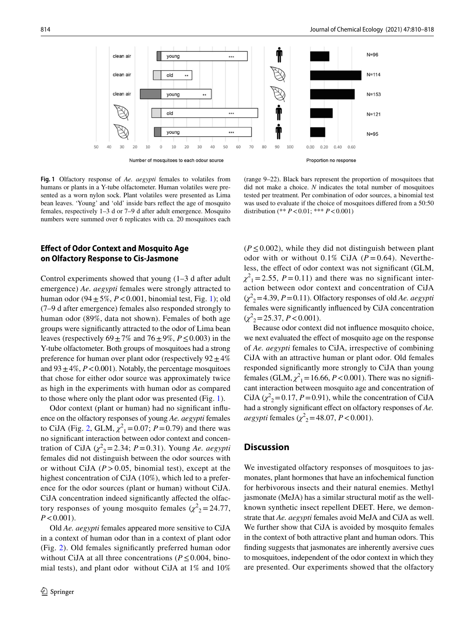

<span id="page-4-0"></span>**Fig. 1** Olfactory response of *Ae. aegypti* females to volatiles from humans or plants in a Y-tube olfactometer. Human volatiles were presented as a worn nylon sock. Plant volatiles were presented as Lima bean leaves. 'Young' and 'old' inside bars refect the age of mosquito females, respectively 1–3 d or 7–9 d after adult emergence. Mosquito numbers were summed over 6 replicates with ca. 20 mosquitoes each

(range 9–22). Black bars represent the proportion of mosquitoes that did not make a choice. *N* indicates the total number of mosquitoes tested per treatment. Per combination of odor sources, a binomial test was used to evaluate if the choice of mosquitoes difered from a 50:50 distribution (\*\* *P*<0.01; \*\*\* *P*<0.001)

# **Efect of Odor Context and Mosquito Age on Olfactory Response to Cis‑Jasmone**

Control experiments showed that young (1–3 d after adult emergence) *Ae. aegypti* females were strongly attracted to human odor  $(94 \pm 5\%, P < 0.001$ , binomial test, Fig. [1](#page-4-0)); old (7–9 d after emergence) females also responded strongly to human odor (89%, data not shown). Females of both age groups were signifcantly attracted to the odor of Lima bean leaves (respectively  $69 \pm 7\%$  and  $76 \pm 9\%, P \le 0.003$ ) in the Y-tube olfactometer. Both groups of mosquitoes had a strong preference for human over plant odor (respectively  $92 \pm 4\%$ ) and  $93 \pm 4\%, P < 0.001$ ). Notably, the percentage mosquitoes that chose for either odor source was approximately twice as high in the experiments with human odor as compared to those where only the plant odor was presented (Fig. [1\)](#page-4-0).

Odor context (plant or human) had no signifcant infuence on the olfactory responses of young *Ae. aegypti* females to CiJA (Fig. [2](#page-5-0), GLM,  $\chi^2_1 = 0.07$ ;  $P = 0.79$ ) and there was no signifcant interaction between odor context and concentration of CiJA  $(\chi^2_{2} = 2.34; P = 0.31)$ . Young *Ae. aegypti* females did not distinguish between the odor sources with or without CiJA  $(P > 0.05$ , binomial test), except at the highest concentration of CiJA (10%), which led to a preference for the odor sources (plant or human) without CiJA. CiJA concentration indeed signifcantly afected the olfactory responses of young mosquito females  $(\chi^2)_2 = 24.77$ ,  $P < 0.001$ ).

Old *Ae. aegypti* females appeared more sensitive to CiJA in a context of human odor than in a context of plant odor (Fig. [2](#page-5-0)). Old females signifcantly preferred human odor without CiJA at all three concentrations ( $P \le 0.004$ , binomial tests), and plant odor without CiJA at 1% and 10%

 $(P \le 0.002)$ , while they did not distinguish between plant odor with or without  $0.1\%$  CiJA ( $P = 0.64$ ). Nevertheless, the efect of odor context was not signifcant (GLM,  $\chi^2$ <sub>1</sub> = 2.55, *P* = 0.11) and there was no significant interaction between odor context and concentration of CiJA  $(\chi^2_{2} = 4.39, P = 0.11)$ . Olfactory responses of old *Ae. aegypti* females were signifcantly infuenced by CiJA concentration  $(\chi^2_{2} = 25.37, P < 0.001).$ 

Because odor context did not infuence mosquito choice, we next evaluated the efect of mosquito age on the response of *Ae. aegypti* females to CiJA, irrespective of combining CiJA with an attractive human or plant odor. Old females responded signifcantly more strongly to CiJA than young females (GLM,  $\chi^2$ <sub>1</sub> = 16.66, *P* < 0.001). There was no significant interaction between mosquito age and concentration of CiJA  $(\chi^2_2 = 0.17, P = 0.91)$ , while the concentration of CiJA had a strongly significant effect on olfactory responses of  $Ae$ . *aegypti* females ( $\chi^2$ <sub>2</sub>=48.07, *P* < 0.001).

## **Discussion**

We investigated olfactory responses of mosquitoes to jasmonates, plant hormones that have an infochemical function for herbivorous insects and their natural enemies. Methyl jasmonate (MeJA) has a similar structural motif as the wellknown synthetic insect repellent DEET. Here, we demonstrate that *Ae. aegypti* females avoid MeJA and CiJA as well. We further show that CiJA is avoided by mosquito females in the context of both attractive plant and human odors. This fnding suggests that jasmonates are inherently aversive cues to mosquitoes, independent of the odor context in which they are presented. Our experiments showed that the olfactory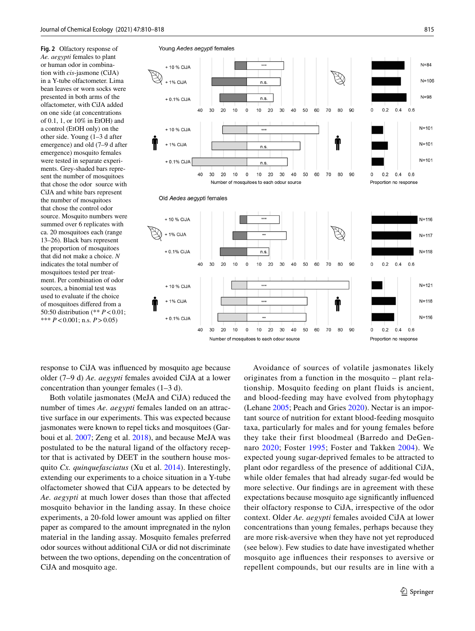<span id="page-5-0"></span>**Fig. 2** Olfactory response of *Ae. aegypti* females to plant or human odor in combination with *cis*-jasmone (CiJA) in a Y-tube olfactometer. Lima bean leaves or worn socks were presented in both arms of the olfactometer, with CiJA added on one side (at concentrations of 0.1, 1, or 10% in EtOH) and a control (EtOH only) on the other side. Young (1–3 d after emergence) and old (7–9 d after emergence) mosquito females were tested in separate experiments. Grey-shaded bars represent the number of mosquitoes that chose the odor source with CiJA and white bars represent the number of mosquitoes that chose the control odor source. Mosquito numbers were summed over 6 replicates with ca. 20 mosquitoes each (range 13–26). Black bars represent the proportion of mosquitoes that did not make a choice. *N* indicates the total number of mosquitoes tested per treatment. Per combination of odor sources, a binomial test was used to evaluate if the choice of mosquitoes difered from a 50:50 distribution (\*\* *P*<0.01; \*\*\* *P*<0.001; n.s. *P*>0.05)



response to CiJA was infuenced by mosquito age because older (7–9 d) *Ae. aegypti* females avoided CiJA at a lower concentration than younger females (1–3 d).

Both volatile jasmonates (MeJA and CiJA) reduced the number of times *Ae. aegypti* females landed on an attractive surface in our experiments. This was expected because jasmonates were known to repel ticks and mosquitoes (Garboui et al. [2007](#page-7-14); Zeng et al. [2018](#page-8-1)), and because MeJA was postulated to be the natural ligand of the olfactory receptor that is activated by DEET in the southern house mosquito *Cx. quinquefasciatus* (Xu et al. [2014](#page-8-0)). Interestingly, extending our experiments to a choice situation in a Y-tube olfactometer showed that CiJA appears to be detected by *Ae. aegypti* at much lower doses than those that afected mosquito behavior in the landing assay. In these choice experiments, a 20-fold lower amount was applied on flter paper as compared to the amount impregnated in the nylon material in the landing assay. Mosquito females preferred odor sources without additional CiJA or did not discriminate between the two options, depending on the concentration of CiJA and mosquito age.

Avoidance of sources of volatile jasmonates likely originates from a function in the mosquito – plant relationship. Mosquito feeding on plant fluids is ancient, and blood-feeding may have evolved from phytophagy (Lehane [2005;](#page-7-30) Peach and Gries [2020](#page-7-1)). Nectar is an important source of nutrition for extant blood-feeding mosquito taxa, particularly for males and for young females before they take their first bloodmeal (Barredo and DeGennaro [2020](#page-6-0); Foster [1995](#page-7-0); Foster and Takken [2004\)](#page-7-21). We expected young sugar-deprived females to be attracted to plant odor regardless of the presence of additional CiJA, while older females that had already sugar-fed would be more selective. Our fndings are in agreement with these expectations because mosquito age signifcantly infuenced their olfactory response to CiJA, irrespective of the odor context. Older *Ae. aegypti* females avoided CiJA at lower concentrations than young females, perhaps because they are more risk-aversive when they have not yet reproduced (see below). Few studies to date have investigated whether mosquito age infuences their responses to aversive or repellent compounds, but our results are in line with a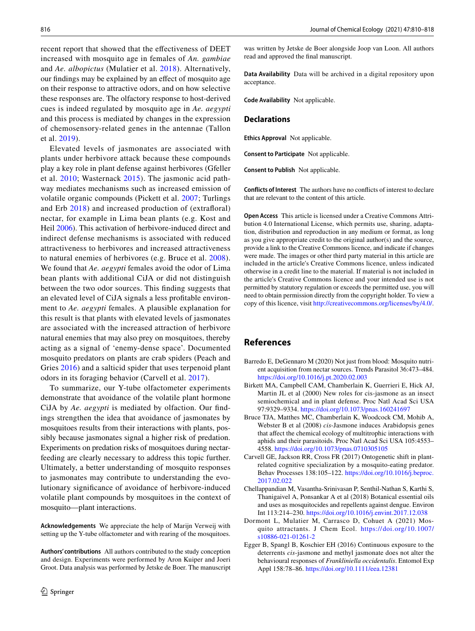recent report that showed that the efectiveness of DEET increased with mosquito age in females of *An. gambiae* and *Ae. albopictus* (Mulatier et al. [2018\)](#page-7-31). Alternatively, our fndings may be explained by an efect of mosquito age on their response to attractive odors, and on how selective these responses are. The olfactory response to host-derived cues is indeed regulated by mosquito age in *Ae. aegypti* and this process is mediated by changes in the expression of chemosensory-related genes in the antennae (Tallon et al. [2019\)](#page-7-22).

Elevated levels of jasmonates are associated with plants under herbivore attack because these compounds play a key role in plant defense against herbivores (Gfeller et al. [2010;](#page-7-15) Wasternack [2015](#page-7-16)). The jasmonic acid pathway mediates mechanisms such as increased emission of volatile organic compounds (Pickett et al. [2007;](#page-7-32) Turlings and Erb [2018\)](#page-7-18) and increased production of (extraforal) nectar, for example in Lima bean plants (e.g. Kost and Heil [2006](#page-7-27)). This activation of herbivore-induced direct and indirect defense mechanisms is associated with reduced attractiveness to herbivores and increased attractiveness to natural enemies of herbivores (e.g. Bruce et al. [2008](#page-6-5)). We found that *Ae. aegypti* females avoid the odor of Lima bean plants with additional CiJA or did not distinguish between the two odor sources. This fnding suggests that an elevated level of CiJA signals a less proftable environment to *Ae. aegypti* females. A plausible explanation for this result is that plants with elevated levels of jasmonates are associated with the increased attraction of herbivore natural enemies that may also prey on mosquitoes, thereby acting as a signal of 'enemy-dense space'. Documented mosquito predators on plants are crab spiders (Peach and Gries [2016\)](#page-7-33) and a salticid spider that uses terpenoid plant odors in its foraging behavior (Carvell et al. [2017\)](#page-6-6).

To summarize, our Y-tube olfactometer experiments demonstrate that avoidance of the volatile plant hormone CiJA by *Ae. aegypti* is mediated by olfaction. Our fndings strengthen the idea that avoidance of jasmonates by mosquitoes results from their interactions with plants, possibly because jasmonates signal a higher risk of predation. Experiments on predation risks of mosquitoes during nectarfeeding are clearly necessary to address this topic further. Ultimately, a better understanding of mosquito responses to jasmonates may contribute to understanding the evolutionary signifcance of avoidance of herbivore-induced volatile plant compounds by mosquitoes in the context of mosquito—plant interactions.

**Acknowledgements** We appreciate the help of Marijn Verweij with setting up the Y-tube olfactometer and with rearing of the mosquitoes.

**Authors' contributions** All authors contributed to the study conception and design. Experiments were performed by Aron Kuiper and Joeri Groot. Data analysis was performed by Jetske de Boer. The manuscript

was written by Jetske de Boer alongside Joop van Loon. All authors read and approved the fnal manuscript.

**Data Availability** Data will be archived in a digital repository upon acceptance.

**Code Availability** Not applicable.

#### **Declarations**

**Ethics Approval** Not applicable.

**Consent to Participate** Not applicable.

**Consent to Publish** Not applicable.

**Conflicts of Interest** The authors have no conficts of interest to declare that are relevant to the content of this article.

**Open Access** This article is licensed under a Creative Commons Attribution 4.0 International License, which permits use, sharing, adaptation, distribution and reproduction in any medium or format, as long as you give appropriate credit to the original author(s) and the source, provide a link to the Creative Commons licence, and indicate if changes were made. The images or other third party material in this article are included in the article's Creative Commons licence, unless indicated otherwise in a credit line to the material. If material is not included in the article's Creative Commons licence and your intended use is not permitted by statutory regulation or exceeds the permitted use, you will need to obtain permission directly from the copyright holder. To view a copy of this licence, visit<http://creativecommons.org/licenses/by/4.0/>.

## **References**

- <span id="page-6-0"></span>Barredo E, DeGennaro M (2020) Not just from blood: Mosquito nutrient acquisition from nectar sources. Trends Parasitol 36:473–484. <https://doi.org/10.1016/j.pt.2020.02.003>
- <span id="page-6-3"></span>Birkett MA, Campbell CAM, Chamberlain K, Guerrieri E, Hick AJ, Martin JL et al (2000) New roles for cis-jasmone as an insect semiochemical and in plant defense. Proc Natl Acad Sci USA 97:9329–9334.<https://doi.org/10.1073/pnas.160241697>
- <span id="page-6-5"></span>Bruce TJA, Matthes MC, Chamberlain K, Woodcock CM, Mohib A, Webster B et al (2008) *cis*-Jasmone induces Arabidopsis genes that afect the chemical ecology of multitrophic interactions with aphids and their parasitoids. Proc Natl Acad Sci USA 105:4553– 4558. <https://doi.org/10.1073/pnas.0710305105>
- <span id="page-6-6"></span>Carvell GE, Jackson RR, Cross FR (2017) Ontogenetic shift in plantrelated cognitive specialization by a mosquito-eating predator. Behav Processes 138:105–122. [https://doi.org/10.1016/j.beproc.](https://doi.org/10.1016/j.beproc.2017.02.022) [2017.02.022](https://doi.org/10.1016/j.beproc.2017.02.022)
- <span id="page-6-2"></span>Chellappandian M, Vasantha-Srinivasan P, Senthil-Nathan S, Karthi S, Thanigaivel A, Ponsankar A et al (2018) Botanical essential oils and uses as mosquitocides and repellents against dengue. Environ Int 113:214–230.<https://doi.org/10.1016/j.envint.2017.12.038>
- <span id="page-6-1"></span>Dormont L, Mulatier M, Carrasco D, Cohuet A (2021) Mosquito attractants. J Chem Ecol. [https://doi.org/10.1007/](https://doi.org/10.1007/s10886-021-01261-2) [s10886-021-01261-2](https://doi.org/10.1007/s10886-021-01261-2)
- <span id="page-6-4"></span>Egger B, Spangl B, Koschier EH (2016) Continuous exposure to the deterrents *cis*-jasmone and methyl jasmonate does not alter the behavioural responses of *Frankliniella occidentalis*. Entomol Exp Appl 158:78–86.<https://doi.org/10.1111/eea.12381>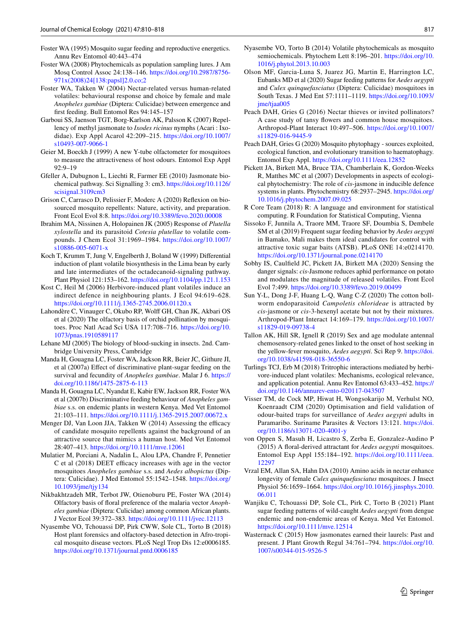- <span id="page-7-0"></span>Foster WA (1995) Mosquito sugar feeding and reproductive energetics. Annu Rev Entomol 40:443–474
- <span id="page-7-11"></span>Foster WA (2008) Phytochemicals as population sampling lures. J Am Mosq Control Assoc 24:138–146. [https://doi.org/10.2987/8756-](https://doi.org/10.2987/8756-971x(2008)24[138:papsl]2.0.co;2) [971x\(2008\)24\[138:papsl\]2.0.co;2](https://doi.org/10.2987/8756-971x(2008)24[138:papsl]2.0.co;2)
- <span id="page-7-21"></span>Foster WA, Takken W (2004) Nectar-related versus human-related volatiles: behavioural response and choice by female and male *Anopheles gambiae* (Diptera: Culicidae) between emergence and frst feeding. Bull Entomol Res 94:145–157
- <span id="page-7-14"></span>Garboui SS, Jaenson TGT, Borg-Karlson AK, Palsson K (2007) Repellency of methyl jasmonate to *Ixodes ricinus* nymphs (Acari : Ixodidae). Exp Appl Acarol 42:209–215. [https://doi.org/10.1007/](https://doi.org/10.1007/s10493-007-9066-1) [s10493-007-9066-1](https://doi.org/10.1007/s10493-007-9066-1)
- <span id="page-7-25"></span>Geier M, Boeckh J (1999) A new Y-tube olfactometer for mosquitoes to measure the attractiveness of host odours. Entomol Exp Appl 92:9–19
- <span id="page-7-15"></span>Gfeller A, Dubugnon L, Liechti R, Farmer EE (2010) Jasmonate biochemical pathway. Sci Signalling 3: cm3. [https://doi.org/10.1126/](https://doi.org/10.1126/scisignal.3109cm3) [scisignal.3109cm3](https://doi.org/10.1126/scisignal.3109cm3)
- <span id="page-7-13"></span>Grison C, Carrasco D, Pelissier F, Moderc A (2020) Refexion on biosourced mosquito repellents: Nature, activity, and preparation. Front Ecol Evol 8:8. <https://doi.org/10.3389/fevo.2020.00008>
- <span id="page-7-19"></span>Ibrahim MA, Nissinen A, Holopainen JK (2005) Response of *Plutella xylostella* and its parasitoid *Cotesia plutellae* to volatile compounds. J Chem Ecol 31:1969–1984. [https://doi.org/10.1007/](https://doi.org/10.1007/s10886-005-6071-x) [s10886-005-6071-x](https://doi.org/10.1007/s10886-005-6071-x)
- <span id="page-7-26"></span>Koch T, Krumm T, Jung V, Engelberth J, Boland W (1999) Diferential induction of plant volatile biosynthesis in the Lima bean by early and late intermediates of the octadecanoid-signaling pathway. Plant Physiol 121:153–162.<https://doi.org/10.1104/pp.121.1.153>
- <span id="page-7-27"></span>Kost C, Heil M (2006) Herbivore-induced plant volatiles induce an indirect defence in neighbouring plants. J Ecol 94:619–628. <https://doi.org/10.1111/j.1365-2745.2006.01120.x>
- <span id="page-7-8"></span>Lahondère C, Vinauger C, Okubo RP, Wolff GH, Chan JK, Akbari OS et al (2020) The olfactory basis of orchid pollination by mosquitoes. Proc Natl Acad Sci USA 117:708–716. [https://doi.org/10.](https://doi.org/10.1073/pnas.1910589117) [1073/pnas.1910589117](https://doi.org/10.1073/pnas.1910589117)
- <span id="page-7-30"></span>Lehane MJ (2005) The biology of blood-sucking in insects. 2nd. Cambridge University Press, Cambridge
- <span id="page-7-6"></span>Manda H, Gouagna LC, Foster WA, Jackson RR, Beier JC, Githure JI, et al (2007a) Efect of discriminative plant-sugar feeding on the survival and fecundity of *Anopheles gambiae*. Malar J 6. [https://](https://doi.org/10.1186/1475-2875-6-113) [doi.org/10.1186/1475-2875-6-113](https://doi.org/10.1186/1475-2875-6-113)
- <span id="page-7-7"></span>Manda H, Gouagna LC, Nyandat E, Kabir EW, Jackson RR, Foster WA et al (2007b) Discriminative feeding behaviour of *Anopheles gambiae* s.s. on endemic plants in western Kenya. Med Vet Entomol 21:103–111.<https://doi.org/10.1111/j.1365-2915.2007.00672.x>
- <span id="page-7-23"></span>Menger DJ, Van Loon JJA, Takken W (2014) Assessing the efficacy of candidate mosquito repellents against the background of an attractive source that mimics a human host. Med Vet Entomol 28:407–413.<https://doi.org/10.1111/mve.12061>
- <span id="page-7-31"></span>Mulatier M, Porciani A, Nadalin L, Alou LPA, Chandre F, Pennetier  $C$  et al (2018) DEET efficacy increases with age in the vector mosquitoes *Anopheles gambiae* s.s. and *Aedes albopictus* (Diptera: Culicidae). J Med Entomol 55:1542–1548. [https://doi.org/](https://doi.org/10.1093/jme/tjy134) [10.1093/jme/tjy134](https://doi.org/10.1093/jme/tjy134)
- <span id="page-7-9"></span>Nikbakhtzadeh MR, Terbot JW, Otienoburu PE, Foster WA (2014) Olfactory basis of foral preference of the malaria vector *Anopheles gambiae* (Diptera: Culicidae) among common African plants. J Vector Ecol 39:372–383.<https://doi.org/10.1111/jvec.12113>
- <span id="page-7-3"></span>Nyasembe VO, Tchouassi DP, Pirk CWW, Sole CL, Torto B (2018) Host plant forensics and olfactory-based detection in Afro-tropical mosquito disease vectors. PLoS Negl Trop Dis 12:e0006185. <https://doi.org/10.1371/journal.pntd.0006185>
- <span id="page-7-12"></span>Nyasembe VO, Torto B (2014) Volatile phytochemicals as mosquito semiochemicals. Phytochem Lett 8:196–201. [https://doi.org/10.](https://doi.org/10.1016/j.phytol.2013.10.003) [1016/j.phytol.2013.10.003](https://doi.org/10.1016/j.phytol.2013.10.003)
- <span id="page-7-4"></span>Olson MF, Garcia-Luna S, Juarez JG, Martin E, Harrington LC, Eubanks MD et al (2020) Sugar feeding patterns for *Aedes aegypti* and *Culex quinquefasciatus* (Diptera: Culicidae) mosquitoes in South Texas. J Med Ent 57:1111–1119. [https://doi.org/10.1093/](https://doi.org/10.1093/jme/tjaa005) [jme/tjaa005](https://doi.org/10.1093/jme/tjaa005)
- <span id="page-7-33"></span>Peach DAH, Gries G (2016) Nectar thieves or invited pollinators? A case study of tansy fowers and common house mosquitoes. Arthropod-Plant Interact 10:497–506. [https://doi.org/10.1007/](https://doi.org/10.1007/s11829-016-9445-9) [s11829-016-9445-9](https://doi.org/10.1007/s11829-016-9445-9)
- <span id="page-7-1"></span>Peach DAH, Gries G (2020) Mosquito phytophagy - sources exploited, ecological function, and evolutionary transition to haematophagy. Entomol Exp Appl.<https://doi.org/10.1111/eea.12852>
- <span id="page-7-32"></span>Pickett JA, Birkett MA, Bruce TJA, Chamberlain K, Gordon-Weeks R, Matthes MC et al (2007) Developments in aspects of ecological phytochemistry: The role of *cis*-jasmone in inducible defence systems in plants. Phytochemistry 68:2937–2945. [https://doi.org/](https://doi.org/10.1016/j.phytochem.2007.09.025) [10.1016/j.phytochem.2007.09.025](https://doi.org/10.1016/j.phytochem.2007.09.025)
- <span id="page-7-29"></span>R Core Team (2018) R: A language and environment for statistical computing. R Foundation for Statistical Computing, Vienna
- <span id="page-7-5"></span>Sissoko F, Junnila A, Traore MM, Traore SF, Doumbia S, Dembele SM et al (2019) Frequent sugar feeding behavior by *Aedes aegypti* in Bamako, Mali makes them ideal candidates for control with attractive toxic sugar baits (ATSB). PLoS ONE 14:e0214170. <https://doi.org/10.1371/journal.pone.0214170>
- <span id="page-7-17"></span>Sobhy IS, Caulfeld JC, Pickett JA, Birkett MA (2020) Sensing the danger signals: *cis*-Jasmone reduces aphid performance on potato and modulates the magnitude of released volatiles. Front Ecol Evol 7:499.<https://doi.org/10.3389/fevo.2019.00499>
- <span id="page-7-20"></span>Sun Y-L, Dong J-F, Huang L-Q, Wang C-Z (2020) The cotton bollworm endoparasitoid *Campoletis chlorideae* is attracted by *cis*-jasmone or *cis*-3-hexenyl acetate but not by their mixtures. Arthropod-Plant Interact 14:169–179. [https://doi.org/10.1007/](https://doi.org/10.1007/s11829-019-09738-4) [s11829-019-09738-4](https://doi.org/10.1007/s11829-019-09738-4)
- <span id="page-7-22"></span>Tallon AK, Hill SR, Ignell R (2019) Sex and age modulate antennal chemosensory-related genes linked to the onset of host seeking in the yellow-fever mosquito, *Aedes aegypti*. Sci Rep 9. [https://doi.](https://doi.org/10.1038/s41598-018-36550-6) [org/10.1038/s41598-018-36550-6](https://doi.org/10.1038/s41598-018-36550-6)
- <span id="page-7-18"></span>Turlings TCJ, Erb M (2018) Tritrophic interactions mediated by herbivore-induced plant volatiles: Mechanisms, ecological relevance, and application potential. Annu Rev Entomol 63:433–452. [https://](https://doi.org/10.1146/annurev-ento-020117-043507) [doi.org/10.1146/annurev-ento-020117-043507](https://doi.org/10.1146/annurev-ento-020117-043507)
- <span id="page-7-24"></span>Visser TM, de Cock MP, Hiwat H, Wongsokarijo M, Verhulst NO, Koenraadt CJM (2020) Optimisation and field validation of odour-baited traps for surveillance of *Aedes aegypti* adults in Paramaribo. Suriname Parasites & Vectors 13:121. [https://doi.](https://doi.org/10.1186/s13071-020-4001-y) [org/10.1186/s13071-020-4001-y](https://doi.org/10.1186/s13071-020-4001-y)
- <span id="page-7-10"></span>von Oppen S, Masuh H, Licastro S, Zerba E, Gonzalez-Audino P (2015) A foral-derived attractant for *Aedes aegypti* mosquitoes. Entomol Exp Appl 155:184–192. [https://doi.org/10.1111/eea.](https://doi.org/10.1111/eea.12297) [12297](https://doi.org/10.1111/eea.12297)
- <span id="page-7-2"></span>Vrzal EM, Allan SA, Hahn DA (2010) Amino acids in nectar enhance longevity of female *Culex quinquefasciatus* mosquitoes. J Insect Physiol 56:1659–1664. [https://doi.org/10.1016/j.jinsphys.2010.](https://doi.org/10.1016/j.jinsphys.2010.06.011) [06.011](https://doi.org/10.1016/j.jinsphys.2010.06.011)
- <span id="page-7-28"></span>Wanjiku C, Tchouassi DP, Sole CL, Pirk C, Torto B (2021) Plant sugar feeding patterns of wild-caught *Aedes aegypti* from dengue endemic and non-endemic areas of Kenya. Med Vet Entomol. <https://doi.org/10.1111/mve.12514>
- <span id="page-7-16"></span>Wasternack C (2015) How jasmonates earned their laurels: Past and present. J Plant Growth Regul 34:761–794. [https://doi.org/10.](https://doi.org/10.1007/s00344-015-9526-5) [1007/s00344-015-9526-5](https://doi.org/10.1007/s00344-015-9526-5)